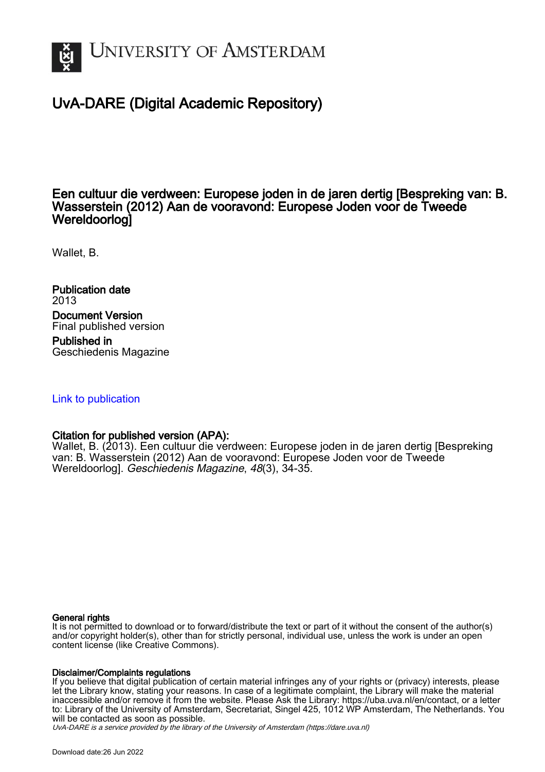

## UvA-DARE (Digital Academic Repository)

## Een cultuur die verdween: Europese joden in de jaren dertig [Bespreking van: B. Wasserstein (2012) Aan de vooravond: Europese Joden voor de Tweede Wereldoorlog]

Wallet, B.

Publication date 2013 Document Version Final published version

Published in Geschiedenis Magazine

## [Link to publication](https://dare.uva.nl/personal/pure/en/publications/een-cultuur-die-verdween-europese-joden-in-de-jaren-dertig-bespreking-van-b-wasserstein-2012-aan-de-vooravond-europese-joden-voor-de-tweede-wereldoorlog(c15e872a-45e7-4a23-8932-521e09658f7f).html)

## Citation for published version (APA):

Wallet, B. (2013). Een cultuur die verdween: Europese joden in de jaren dertig [Bespreking van: B. Wasserstein (2012) Aan de vooravond: Europese Joden voor de Tweede Wereldoorlog]. Geschiedenis Magazine, 48(3), 34-35.

## General rights

It is not permitted to download or to forward/distribute the text or part of it without the consent of the author(s) and/or copyright holder(s), other than for strictly personal, individual use, unless the work is under an open content license (like Creative Commons).

## Disclaimer/Complaints regulations

If you believe that digital publication of certain material infringes any of your rights or (privacy) interests, please let the Library know, stating your reasons. In case of a legitimate complaint, the Library will make the material inaccessible and/or remove it from the website. Please Ask the Library: https://uba.uva.nl/en/contact, or a letter to: Library of the University of Amsterdam, Secretariat, Singel 425, 1012 WP Amsterdam, The Netherlands. You will be contacted as soon as possible.

UvA-DARE is a service provided by the library of the University of Amsterdam (http*s*://dare.uva.nl)